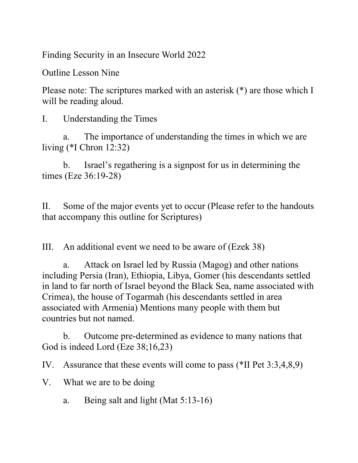Finding Security in an Insecure World 2022

Outline Lesson Nine

Please note: The scriptures marked with an asterisk (\*) are those which I will be reading aloud.

I. Understanding the Times

a. The importance of understanding the times in which we are living (\*I Chron 12:32)

b. Israel's regathering is a signpost for us in determining the times (Eze 36:19-28)

II. Some of the major events yet to occur (Please refer to the handouts that accompany this outline for Scriptures)

III. An additional event we need to be aware of (Ezek 38)

a. Attack on Israel led by Russia (Magog) and other nations including Persia (Iran), Ethiopia, Libya, Gomer (his descendants settled in land to far north of Israel beyond the Black Sea, name associated with Crimea), the house of Togarmah (his descendants settled in area associated with Armenia) Mentions many people with them but countries but not named.

b. Outcome pre-determined as evidence to many nations that God is indeed Lord (Eze 38;16,23)

IV. Assurance that these events will come to pass (\*II Pet 3:3,4,8,9)

- V. What we are to be doing
	- a. Being salt and light (Mat 5:13-16)